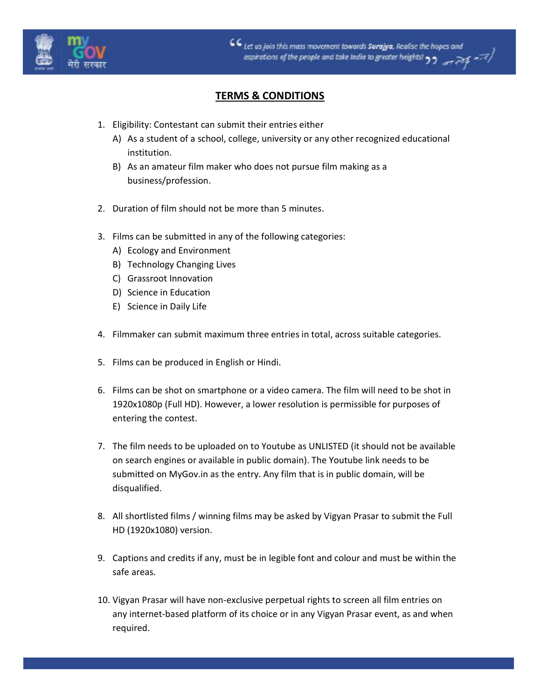

 $CC$  Let us join this mass movement towards Surajya, Realise the hopes and  $rac{1}{2}$ ospirations of the people and take India to greater heights! 99

## TERMS & CONDITIONS

- 1. Eligibility: Contestant can submit their entries either
	- A) As a student of a school, college, university or any other recognized educational institution.
	- B) As an amateur film maker who does not pursue film making as a business/profession.
- 2. Duration of film should not be more than 5 minutes.
- 3. Films can be submitted in any of the following categories:
	- A) Ecology and Environment
	- B) Technology Changing Lives
	- C) Grassroot Innovation
	- D) Science in Education
	- E) Science in Daily Life
- 4. Filmmaker can submit maximum three entries in total, across suitable categories.
- 5. Films can be produced in English or Hindi.
- 6. Films can be shot on smartphone or a video camera. The film will need to be shot in 1920x1080p (Full HD). However, a lower resolution is permissible for purposes of entering the contest.
- 7. The film needs to be uploaded on to Youtube as UNLISTED (it should not be available on search engines or available in public domain). The Youtube link needs to be submitted on MyGov.in as the entry. Any film that is in public domain, will be disqualified.
- 8. All shortlisted films / winning films may be asked by Vigyan Prasar to submit the Full HD (1920x1080) version.
- 9. Captions and credits if any, must be in legible font and colour and must be within the safe areas.
- 10. Vigyan Prasar will have non-exclusive perpetual rights to screen all film entries on any internet-based platform of its choice or in any Vigyan Prasar event, as and when required.